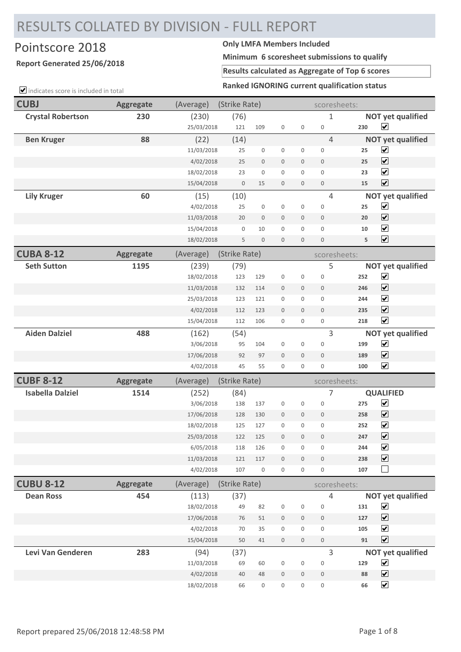## RESULTS COLLATED BY DIVISION - FULL REPORT

## Pointscore 2018 **Only LMFA Members Included**

## **Report Generated 25/06/2018**

**Minimum 6 scoresheet submissions to qualify**

**Results calculated as Aggregate of Top 6 scores**

**Ranked IGNORING current qualification status**

| $\Box$ indicates score is included in total | <b>Ranked IGNORING Current qualification status</b> |            |               |                  |                  |                  |                  |     |                          |
|---------------------------------------------|-----------------------------------------------------|------------|---------------|------------------|------------------|------------------|------------------|-----|--------------------------|
| <b>CUBJ</b>                                 | <b>Aggregate</b>                                    | (Average)  | (Strike Rate) |                  |                  |                  | scoresheets:     |     |                          |
| <b>Crystal Robertson</b>                    | 230                                                 | (230)      | (76)          |                  |                  |                  | 1                |     | <b>NOT yet qualified</b> |
|                                             |                                                     | 25/03/2018 | 121           | 109              | $\boldsymbol{0}$ | $\mathsf 0$      | $\mathbf 0$      | 230 | $\overline{\mathbf{v}}$  |
| <b>Ben Kruger</b>                           | 88                                                  | (22)       | (14)          |                  |                  |                  | $\overline{4}$   |     | <b>NOT yet qualified</b> |
|                                             |                                                     | 11/03/2018 | 25            | 0                | $\boldsymbol{0}$ | 0                | $\mathbf 0$      | 25  | $\blacktriangledown$     |
|                                             |                                                     | 4/02/2018  | 25            | $\boldsymbol{0}$ | $\mathbf 0$      | $\mathbf 0$      | $\mathbf{0}$     | 25  | $\overline{\mathbf{v}}$  |
|                                             |                                                     | 18/02/2018 | 23            | 0                | $\mathbf 0$      | $\overline{0}$   | $\mathbf{0}$     | 23  | $\overline{\mathbf{v}}$  |
|                                             |                                                     | 15/04/2018 | $\bf 0$       | 15               | $\mathbf 0$      | $\mathbf 0$      | $\bf 0$          | 15  | $\overline{\mathbf{v}}$  |
| <b>Lily Kruger</b>                          | 60                                                  | (15)       | (10)          |                  |                  |                  | $\overline{4}$   |     | <b>NOT yet qualified</b> |
|                                             |                                                     | 4/02/2018  | 25            | 0                | $\boldsymbol{0}$ | 0                | $\boldsymbol{0}$ | 25  | $\overline{\mathbf{v}}$  |
|                                             |                                                     | 11/03/2018 | 20            | $\boldsymbol{0}$ | $\mathbf 0$      | $\mathbf 0$      | $\overline{0}$   | 20  | $\overline{\mathbf{v}}$  |
|                                             |                                                     | 15/04/2018 | $\mathbf 0$   | 10               | $\mathbf 0$      | 0                | $\mathbf 0$      | 10  | $\blacktriangledown$     |
|                                             |                                                     | 18/02/2018 | 5             | $\mathbf 0$      | $\mathbf{0}$     | $\mathbf 0$      | $\mathbf{0}$     | 5   | $\overline{\mathbf{v}}$  |
| <b>CUBA 8-12</b>                            | <b>Aggregate</b>                                    | (Average)  | (Strike Rate) |                  |                  |                  | scoresheets:     |     |                          |
| <b>Seth Sutton</b>                          | 1195                                                | (239)      | (79)          |                  |                  |                  | 5                |     | <b>NOT yet qualified</b> |
|                                             |                                                     | 18/02/2018 | 123           | 129              | $\boldsymbol{0}$ | $\boldsymbol{0}$ | $\mathbf 0$      | 252 | $\blacktriangledown$     |
|                                             |                                                     | 11/03/2018 | 132           | 114              | $\mathbf 0$      | $\mathbf 0$      | $\mathbf 0$      | 246 | $\overline{\mathbf{v}}$  |
|                                             |                                                     | 25/03/2018 | 123           | 121              | $\boldsymbol{0}$ | 0                | $\mathbf 0$      | 244 | $\overline{\mathbf{v}}$  |
|                                             |                                                     | 4/02/2018  | 112           | 123              | $\mathbf 0$      | $\mathbf 0$      | $\mathbf{0}$     | 235 | $\blacktriangledown$     |
|                                             |                                                     | 15/04/2018 | 112           | 106              | $\boldsymbol{0}$ | 0                | $\mathbf 0$      | 218 | $\overline{\mathbf{v}}$  |
| <b>Aiden Dalziel</b>                        | 488                                                 | (162)      | (54)          |                  |                  |                  | 3                |     | <b>NOT yet qualified</b> |
|                                             |                                                     | 3/06/2018  | 95            | 104              | $\boldsymbol{0}$ | $\boldsymbol{0}$ | $\mathbf 0$      | 199 | $\overline{\mathbf{v}}$  |
|                                             |                                                     | 17/06/2018 | 92            | 97               | $\bf 0$          | $\boldsymbol{0}$ | $\bf 0$          | 189 | $\overline{\mathbf{v}}$  |
|                                             |                                                     | 4/02/2018  | 45            | 55               | $\mathbf 0$      | $\boldsymbol{0}$ | $\boldsymbol{0}$ | 100 | $\blacktriangledown$     |
| <b>CUBF 8-12</b>                            | <b>Aggregate</b>                                    | (Average)  | (Strike Rate) |                  |                  |                  | scoresheets:     |     |                          |
| <b>Isabella Dalziel</b>                     | 1514                                                | (252)      | (84)          |                  |                  |                  | 7                |     | <b>QUALIFIED</b>         |
|                                             |                                                     | 3/06/2018  | 138           | 137              | $\boldsymbol{0}$ | 0                | $\boldsymbol{0}$ | 275 | $\blacktriangledown$     |
|                                             |                                                     | 17/06/2018 | 128           | 130              | $\bf 0$          | 0                | $\mathbf{0}$     | 258 | $\overline{\mathbf{v}}$  |
|                                             |                                                     | 18/02/2018 | 125           | 127              | $\mathbf 0$      | $\mathbf 0$      | $\mathbf 0$      | 252 | $\blacktriangledown$     |
|                                             |                                                     | 25/03/2018 | 122           | 125              | $\boldsymbol{0}$ | $\boldsymbol{0}$ | $\mathbf{0}$     | 247 | $\blacktriangledown$     |
|                                             |                                                     | 6/05/2018  | 118           | 126              | $\boldsymbol{0}$ | $\mathbf 0$      | $\mathbf{0}$     | 244 | $\blacktriangledown$     |
|                                             |                                                     | 11/03/2018 | 121           | 117              | $\boldsymbol{0}$ | $\mathbf 0$      | $\bf 0$          | 238 | $\overline{\mathbf{v}}$  |
|                                             |                                                     | 4/02/2018  | 107           | $\boldsymbol{0}$ | $\boldsymbol{0}$ | $\boldsymbol{0}$ | $\boldsymbol{0}$ | 107 | $\Box$                   |
| <b>CUBU 8-12</b>                            | <b>Aggregate</b>                                    | (Average)  | (Strike Rate) |                  |                  |                  | scoresheets:     |     |                          |
| <b>Dean Ross</b>                            | 454                                                 | (113)      | (37)          |                  |                  |                  | 4                |     | <b>NOT yet qualified</b> |
|                                             |                                                     | 18/02/2018 | 49            | 82               | $\boldsymbol{0}$ | $\boldsymbol{0}$ | $\mathbf 0$      | 131 | $\blacktriangleright$    |
|                                             |                                                     | 17/06/2018 | 76            | 51               | $\mathbf 0$      | $\boldsymbol{0}$ | $\mathbf 0$      | 127 | $\overline{\mathbf{v}}$  |
|                                             |                                                     | 4/02/2018  | $70\,$        | 35               | $\boldsymbol{0}$ | 0                | $\boldsymbol{0}$ | 105 | $\blacktriangledown$     |
|                                             |                                                     | 15/04/2018 | 50            | 41               | $\boldsymbol{0}$ | $\mathbf 0$      | $\mathbb O$      | 91  | $\blacktriangledown$     |
| Levi Van Genderen                           | 283                                                 | (94)       | (37)          |                  |                  |                  | 3                |     | <b>NOT yet qualified</b> |
|                                             |                                                     | 11/03/2018 | 69            | 60               | $\boldsymbol{0}$ | $\boldsymbol{0}$ | $\boldsymbol{0}$ | 129 | $\blacktriangledown$     |
|                                             |                                                     | 4/02/2018  | 40            | $48\,$           | $\boldsymbol{0}$ | $\mathbf 0$      | $\mathbf 0$      | 88  | $\overline{\mathbf{v}}$  |
|                                             |                                                     | 18/02/2018 | 66            | 0                | $\boldsymbol{0}$ | 0                | $\boldsymbol{0}$ | 66  | $\blacktriangledown$     |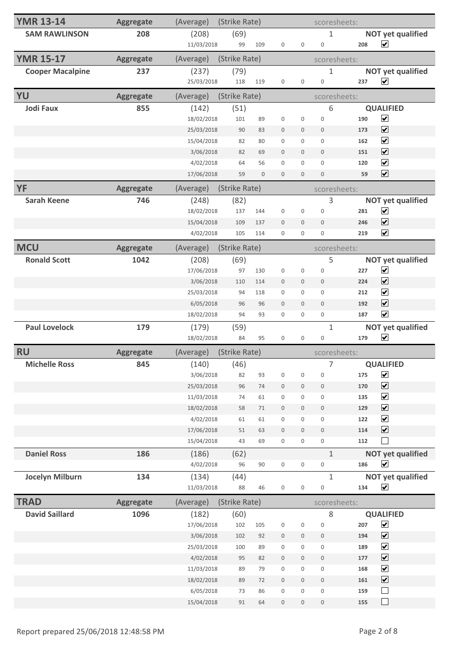| <b>YMR 13-14</b>        | <b>Aggregate</b> | (Average)               | (Strike Rate) |                  | scoresheets:                         |                                      |                             |            |                                    |
|-------------------------|------------------|-------------------------|---------------|------------------|--------------------------------------|--------------------------------------|-----------------------------|------------|------------------------------------|
| <b>SAM RAWLINSON</b>    | 208              | (208)                   | (69)          |                  |                                      |                                      | $\mathbf{1}$                |            | <b>NOT yet qualified</b>           |
|                         |                  | 11/03/2018              | 99            | 109              | $\boldsymbol{0}$                     | $\boldsymbol{0}$                     | $\boldsymbol{0}$            | 208        | $\overline{\mathbf{v}}$            |
| <b>YMR 15-17</b>        | Aggregate        | (Average)               | (Strike Rate) |                  |                                      |                                      | scoresheets:                |            |                                    |
| <b>Cooper Macalpine</b> | 237              | (237)                   | (79)          |                  |                                      |                                      | $\mathbf 1$                 |            | <b>NOT yet qualified</b>           |
|                         |                  | 25/03/2018              | 118           | 119              | $\boldsymbol{0}$                     | $\boldsymbol{0}$                     | $\boldsymbol{0}$            | 237        | $\overline{\mathbf{v}}$            |
| YU                      | <b>Aggregate</b> | (Average)               | (Strike Rate) |                  |                                      |                                      | scoresheets:                |            |                                    |
| <b>Jodi Faux</b>        | 855              | (142)                   | (51)          |                  |                                      |                                      | 6                           |            | <b>QUALIFIED</b>                   |
|                         |                  | 18/02/2018              | 101           | 89               | $\boldsymbol{0}$                     | $\boldsymbol{0}$                     | $\boldsymbol{0}$            | 190        | $\blacktriangledown$               |
|                         |                  | 25/03/2018              | 90            | 83               | $\mathbf 0$                          | $\mathbf 0$                          | $\mathbf 0$                 | 173        | $\overline{\mathbf{v}}$            |
|                         |                  | 15/04/2018              | 82            | 80               | $\boldsymbol{0}$                     | 0                                    | $\boldsymbol{0}$            | 162        | $\overline{\mathbf{v}}$            |
|                         |                  | 3/06/2018               | 82            | 69               | $\mathbf 0$                          | $\mathbf 0$                          | $\mathbf 0$                 | 151        | $\overline{\mathbf{v}}$            |
|                         |                  | 4/02/2018               | 64            | 56               | $\boldsymbol{0}$                     | 0                                    | $\boldsymbol{0}$            | 120        | $\blacktriangledown$               |
|                         |                  | 17/06/2018              | 59            | $\boldsymbol{0}$ | $\mathbf 0$                          | $\boldsymbol{0}$                     | $\boldsymbol{0}$            | 59         | $\overline{\mathbf{v}}$            |
| <b>YF</b>               | <b>Aggregate</b> | (Average)               | (Strike Rate) |                  |                                      |                                      | scoresheets:                |            |                                    |
| <b>Sarah Keene</b>      | 746              | (248)                   | (82)          |                  |                                      |                                      | 3                           |            | <b>NOT yet qualified</b>           |
|                         |                  | 18/02/2018              | 137           | 144              | $\boldsymbol{0}$                     | $\boldsymbol{0}$                     | $\boldsymbol{0}$            | 281        | $\blacktriangledown$               |
|                         |                  | 15/04/2018              | 109           | 137              | $\mathbf 0$                          | $\boldsymbol{0}$                     | $\boldsymbol{0}$            | 246        | $\overline{\mathbf{v}}$            |
|                         |                  | 4/02/2018               | 105           | 114              | $\boldsymbol{0}$                     | $\mathbf{0}$                         | $\boldsymbol{0}$            | 219        | $\blacktriangledown$               |
| <b>MCU</b>              | Aggregate        | (Average)               | (Strike Rate) |                  |                                      |                                      | scoresheets:                |            |                                    |
| <b>Ronald Scott</b>     | 1042             | (208)                   | (69)          |                  |                                      |                                      | 5                           |            | <b>NOT yet qualified</b>           |
|                         |                  | 17/06/2018              | 97            | 130              | $\boldsymbol{0}$                     | $\boldsymbol{0}$                     | $\boldsymbol{0}$            | 227        | $\blacktriangledown$               |
|                         |                  | 3/06/2018               | 110           | 114              | $\boldsymbol{0}$                     | $\mathbf 0$                          | $\mathbf 0$                 | 224        | $\overline{\mathbf{v}}$            |
|                         |                  | 25/03/2018              | 94            | 118              | 0                                    | 0                                    | $\boldsymbol{0}$            | 212        | $\blacktriangledown$               |
|                         |                  | 6/05/2018               | 96            | 96               | $\boldsymbol{0}$                     | $\mathbf 0$                          | $\boldsymbol{0}$            | 192        | $\blacktriangledown$               |
|                         |                  | 18/02/2018              | 94            | 93               | $\boldsymbol{0}$                     | $\mathbf 0$                          | $\boldsymbol{0}$            | 187        | $\blacktriangledown$               |
| <b>Paul Lovelock</b>    | 179              | (179)                   | (59)          |                  |                                      |                                      | $\mathbf{1}$                |            | <b>NOT yet qualified</b>           |
|                         |                  | 18/02/2018              | 84            | 95               | 0                                    | $\boldsymbol{0}$                     | $\boldsymbol{0}$            | 179        | $\overline{\mathbf{v}}$            |
| <b>RU</b>               | <b>Aggregate</b> | (Average)               | (Strike Rate) |                  |                                      |                                      | scoresheets:                |            |                                    |
| <b>Michelle Ross</b>    | 845              | (140)                   | (46)          |                  |                                      |                                      | $\overline{7}$              |            | <b>QUALIFIED</b>                   |
|                         |                  | 3/06/2018               | 82            | 93               | $\boldsymbol{0}$                     | 0                                    | $\boldsymbol{0}$            | 175        | $\blacktriangledown$               |
|                         |                  | 25/03/2018              | 96            | 74               | $\,0\,$                              | $\mathbf 0$                          | $\boldsymbol{0}$            | 170        | $\overline{\mathbf{v}}$            |
|                         |                  | 11/03/2018              | 74            | 61               | $\boldsymbol{0}$                     | 0                                    | $\boldsymbol{0}$            | 135        | $\blacktriangledown$               |
|                         |                  | 18/02/2018              | 58            | $71\,$           | $\boldsymbol{0}$                     | $\boldsymbol{0}$                     | $\boldsymbol{0}$            | 129        | $\blacktriangledown$               |
|                         |                  | 4/02/2018               | 61            | 61               | $\boldsymbol{0}$                     | $\mathsf 0$                          | $\boldsymbol{0}$            | 122        | $\blacktriangledown$               |
|                         |                  | 17/06/2018              | 51            | 63               | $\boldsymbol{0}$                     | $\boldsymbol{0}$                     | $\,0\,$                     | 114        | $\overline{\mathbf{v}}$            |
|                         |                  | 15/04/2018              | 43            | 69               | $\boldsymbol{0}$                     | 0                                    | $\boldsymbol{0}$            | 112        | $\mathcal{L}$                      |
| <b>Daniel Ross</b>      | 186              | (186)                   | (62)          |                  |                                      |                                      | $\mathbf{1}$                |            | <b>NOT yet qualified</b>           |
|                         |                  |                         | 96            | 90               | $\boldsymbol{0}$                     | $\boldsymbol{0}$                     | $\boldsymbol{0}$            | 186        | $\blacktriangledown$               |
|                         |                  | 4/02/2018               |               |                  |                                      |                                      |                             |            |                                    |
| <b>Jocelyn Milburn</b>  | 134              | (134)                   | (44)          |                  |                                      |                                      | $\mathbf{1}$                |            | <b>NOT yet qualified</b>           |
|                         |                  | 11/03/2018              | 88            | 46               | $\boldsymbol{0}$                     | $\boldsymbol{0}$                     | $\mathsf{O}\xspace$         | 134        | $\blacktriangledown$               |
| <b>TRAD</b>             | <b>Aggregate</b> | (Average)               | (Strike Rate) |                  |                                      |                                      | scoresheets:                |            |                                    |
| <b>David Saillard</b>   | 1096             | (182)                   | (60)          |                  |                                      |                                      | 8                           |            | <b>QUALIFIED</b>                   |
|                         |                  | 17/06/2018              | 102           | 105              | $\boldsymbol{0}$                     | $\boldsymbol{0}$                     | $\mathsf{O}\xspace$         | 207        | $\blacktriangledown$               |
|                         |                  | 3/06/2018               | 102           | 92               | $\boldsymbol{0}$                     | $\boldsymbol{0}$                     | $\,0\,$                     | 194        | $\overline{\mathbf{v}}$            |
|                         |                  | 25/03/2018              | 100           | 89               | $\boldsymbol{0}$                     | 0                                    | $\boldsymbol{0}$            | 189        | $\blacktriangledown$               |
|                         |                  | 4/02/2018               | 95            | 82               | $\boldsymbol{0}$                     | $\boldsymbol{0}$                     | $\boldsymbol{0}$            | 177        | $\blacktriangledown$               |
|                         |                  | 11/03/2018              | 89            | 79               | $\boldsymbol{0}$                     | 0                                    | $\boldsymbol{0}$            | 168        | $\blacktriangledown$               |
|                         |                  | 18/02/2018              | 89            | 72               | $\boldsymbol{0}$                     | $\boldsymbol{0}$                     | $\,0\,$                     | 161        | $\overline{\mathbf{v}}$            |
|                         |                  | 6/05/2018<br>15/04/2018 | 73<br>91      | 86<br>64         | $\boldsymbol{0}$<br>$\boldsymbol{0}$ | $\boldsymbol{0}$<br>$\boldsymbol{0}$ | $\boldsymbol{0}$<br>$\,0\,$ | 159<br>155 | $\overline{\phantom{a}}$<br>$\Box$ |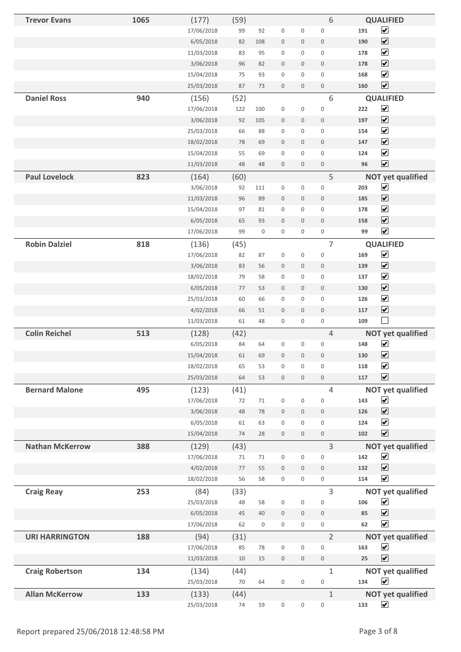| <b>Trevor Evans</b>    | 1065 | (177)      | (59)    |             |                     |                     | 6                   | <b>QUALIFIED</b>                    |
|------------------------|------|------------|---------|-------------|---------------------|---------------------|---------------------|-------------------------------------|
|                        |      | 17/06/2018 | 99      | 92          | $\boldsymbol{0}$    | $\boldsymbol{0}$    | $\boldsymbol{0}$    | $\overline{\mathbf{v}}$<br>191      |
|                        |      | 6/05/2018  | 82      | 108         | $\boldsymbol{0}$    | $\boldsymbol{0}$    | $\boldsymbol{0}$    | $\overline{\mathbf{v}}$<br>190      |
|                        |      | 11/03/2018 | 83      | 95          | $\boldsymbol{0}$    | $\mathbf 0$         | $\mathbf 0$         | $\overline{\mathbf{v}}$<br>178      |
|                        |      | 3/06/2018  | 96      | 82          | $\boldsymbol{0}$    | $\mathbf 0$         | $\boldsymbol{0}$    | $\overline{\mathbf{v}}$<br>178      |
|                        |      | 15/04/2018 | 75      | 93          | $\mathbf 0$         | 0                   | $\mathsf{O}\xspace$ | $\overline{\mathbf{v}}$<br>168      |
|                        |      | 25/03/2018 | 87      | 73          | $\boldsymbol{0}$    | $\mathbf 0$         | $\boldsymbol{0}$    | $\boxed{\blacktriangledown}$<br>160 |
| <b>Daniel Ross</b>     | 940  | (156)      | (52)    |             |                     |                     | 6                   | <b>QUALIFIED</b>                    |
|                        |      | 17/06/2018 | 122     | 100         | $\boldsymbol{0}$    | $\boldsymbol{0}$    | $\boldsymbol{0}$    | $\overline{\mathbf{v}}$<br>222      |
|                        |      | 3/06/2018  | 92      | 105         | $\boldsymbol{0}$    | $\boldsymbol{0}$    | $\boldsymbol{0}$    | $\boxed{\blacktriangledown}$<br>197 |
|                        |      | 25/03/2018 | 66      | 88          | $\boldsymbol{0}$    | 0                   | $\boldsymbol{0}$    | $\blacktriangledown$<br>154         |
|                        |      | 18/02/2018 | 78      | 69          | $\boldsymbol{0}$    | $\mathbf 0$         | $\boldsymbol{0}$    | $\boxed{\blacktriangledown}$<br>147 |
|                        |      | 15/04/2018 | 55      | 69          | $\boldsymbol{0}$    | 0                   | $\boldsymbol{0}$    | $\overline{\mathbf{v}}$<br>124      |
|                        |      | 11/03/2018 | 48      | 48          | $\boldsymbol{0}$    | $\boldsymbol{0}$    | $\boldsymbol{0}$    | $\overline{\mathbf{v}}$<br>96       |
| <b>Paul Lovelock</b>   | 823  | (164)      | (60)    |             |                     |                     | 5                   | <b>NOT yet qualified</b>            |
|                        |      | 3/06/2018  | 92      | 111         | $\boldsymbol{0}$    | $\mathbf 0$         | $\boldsymbol{0}$    | $\blacktriangledown$<br>203         |
|                        |      | 11/03/2018 | 96      | 89          | $\boldsymbol{0}$    | $\boldsymbol{0}$    | $\mathbf 0$         | $\overline{\mathbf{v}}$<br>185      |
|                        |      | 15/04/2018 | 97      | 81          | $\boldsymbol{0}$    | $\mathbf 0$         | $\boldsymbol{0}$    | $\overline{\mathbf{v}}$<br>178      |
|                        |      | 6/05/2018  | 65      | 93          | $\boldsymbol{0}$    | $\mathbf 0$         | $\boldsymbol{0}$    | $\boxed{\blacktriangledown}$<br>158 |
|                        |      | 17/06/2018 | 99      | $\mathbf 0$ | $\boldsymbol{0}$    | 0                   | $\boldsymbol{0}$    | $\overline{\mathbf{v}}$<br>99       |
| <b>Robin Dalziel</b>   | 818  | (136)      | (45)    |             |                     |                     | $\overline{7}$      | <b>QUALIFIED</b>                    |
|                        |      | 17/06/2018 | 82      | 87          | $\boldsymbol{0}$    | $\boldsymbol{0}$    | $\boldsymbol{0}$    | $\blacktriangledown$<br>169         |
|                        |      | 3/06/2018  | 83      | 56          | $\boldsymbol{0}$    | $\mathbf 0$         | $\boldsymbol{0}$    | $\blacktriangledown$<br>139         |
|                        |      | 18/02/2018 | 79      | 58          | $\boldsymbol{0}$    | 0                   | $\boldsymbol{0}$    | $\overline{\mathbf{v}}$<br>137      |
|                        |      | 6/05/2018  | 77      | 53          | $\boldsymbol{0}$    | 0                   | $\boldsymbol{0}$    | $\boxed{\blacktriangledown}$<br>130 |
|                        |      | 25/03/2018 | 60      | 66          | $\boldsymbol{0}$    | 0                   | $\mathbf 0$         | $\blacktriangledown$<br>126         |
|                        |      | 4/02/2018  | 66      | 51          | $\boldsymbol{0}$    | $\mathbf 0$         | $\boldsymbol{0}$    | $\blacktriangledown$<br>117         |
|                        |      | 11/03/2018 | 61      | 48          | $\boldsymbol{0}$    | $\boldsymbol{0}$    | $\boldsymbol{0}$    | $\Box$<br>109                       |
| <b>Colin Reichel</b>   | 513  | (128)      | (42)    |             |                     |                     | 4                   | <b>NOT yet qualified</b>            |
|                        |      | 6/05/2018  | 84      | 64          | $\boldsymbol{0}$    | 0                   | $\boldsymbol{0}$    | $\overline{\mathbf{v}}$<br>148      |
|                        |      | 15/04/2018 | 61      | 69          | $\boldsymbol{0}$    | $\boldsymbol{0}$    | $\boldsymbol{0}$    | $\blacktriangledown$<br>130         |
|                        |      | 18/02/2018 | 65      | 53          | $\boldsymbol{0}$    | 0                   | $\mathsf{O}\xspace$ | $\blacktriangledown$<br>118         |
|                        |      | 25/03/2018 | 64      | 53          | $\boldsymbol{0}$    | $\mathbf 0$         | $\boldsymbol{0}$    | $\overline{\mathbf{v}}$<br>117      |
| <b>Bernard Malone</b>  | 495  | (123)      | (41)    |             |                     |                     | $\overline{4}$      | <b>NOT yet qualified</b>            |
|                        |      | 17/06/2018 | 72      | 71          | $\boldsymbol{0}$    | 0                   | $\boldsymbol{0}$    | $\blacktriangledown$<br>143         |
|                        |      | 3/06/2018  | 48      | 78          | $\boldsymbol{0}$    | $\mathbf 0$         | $\boldsymbol{0}$    | $\overline{\mathbf{v}}$<br>126      |
|                        |      | 6/05/2018  | 61      | 63          | $\boldsymbol{0}$    | 0                   | $\mathsf 0$         | $\blacktriangledown$<br>124         |
|                        |      | 15/04/2018 | 74      | 28          | $\boldsymbol{0}$    | $\mathbf 0$         | $\boldsymbol{0}$    | $\overline{\mathbf{v}}$<br>102      |
| <b>Nathan McKerrow</b> | 388  | (129)      | (43)    |             |                     |                     | $\overline{3}$      | <b>NOT yet qualified</b>            |
|                        |      | 17/06/2018 | 71      | 71          | $\boldsymbol{0}$    | $\boldsymbol{0}$    | $\boldsymbol{0}$    | $\blacktriangledown$<br>142         |
|                        |      | 4/02/2018  | $77 \,$ | 55          | $\boldsymbol{0}$    | $\mathbf 0$         | $\boldsymbol{0}$    | $\blacktriangledown$<br>132         |
|                        |      | 18/02/2018 | 56      | 58          | $\boldsymbol{0}$    | 0                   | $\boldsymbol{0}$    | $\overline{\mathbf{v}}$<br>114      |
| <b>Craig Reay</b>      | 253  | (84)       | (33)    |             |                     |                     | 3                   | <b>NOT yet qualified</b>            |
|                        |      | 25/03/2018 | 48      | 58          | $\boldsymbol{0}$    | $\boldsymbol{0}$    | $\boldsymbol{0}$    | $\blacktriangledown$<br>106         |
|                        |      | 6/05/2018  | 45      | 40          | $\boldsymbol{0}$    | $\mathbf 0$         | $\boldsymbol{0}$    | $\overline{\mathbf{v}}$<br>85       |
|                        |      | 17/06/2018 | 62      | $\mathbf 0$ | $\mathsf{O}\xspace$ | $\mathsf{O}\xspace$ | $\mathsf{O}\xspace$ | $\blacktriangledown$<br>62          |
| <b>URI HARRINGTON</b>  | 188  | (94)       | (31)    |             |                     |                     | $\overline{2}$      | <b>NOT yet qualified</b>            |
|                        |      | 17/06/2018 | 85      | 78          | $\mathbf 0$         | 0                   | $\mathsf{O}\xspace$ | $\blacktriangledown$<br>163         |
|                        |      | 11/03/2018 | 10      | 15          | $\boldsymbol{0}$    | $\boldsymbol{0}$    | $\boldsymbol{0}$    | $\overline{\mathbf{v}}$<br>25       |
| <b>Craig Robertson</b> | 134  | (134)      | (44)    |             |                     |                     | $\mathbf{1}$        | <b>NOT yet qualified</b>            |
|                        |      | 25/03/2018 | 70      | 64          | $\boldsymbol{0}$    | $\boldsymbol{0}$    | $\boldsymbol{0}$    | $\blacktriangledown$<br>134         |
| <b>Allan McKerrow</b>  | 133  | (133)      | (44)    |             |                     |                     | $\mathbf{1}$        | <b>NOT yet qualified</b>            |
|                        |      | 25/03/2018 | $74$    | 59          | $\mathsf{O}\xspace$ | $\boldsymbol{0}$    | $\boldsymbol{0}$    | $\blacktriangledown$<br>133         |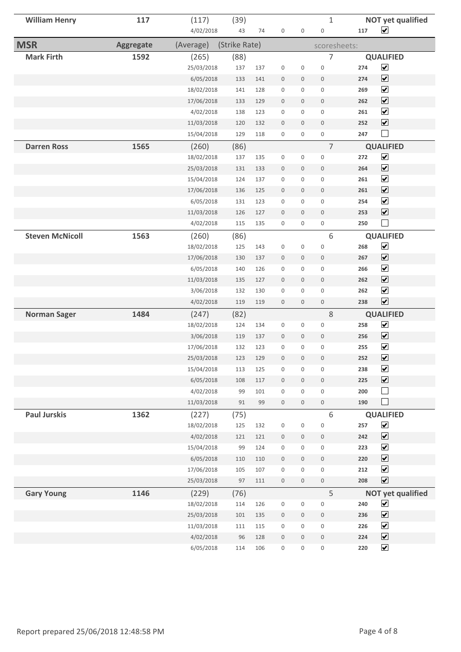| <b>William Henry</b>   | 117              | (117)                  | (39)          |            |                             |                                         | $\mathbf{1}$                            |            | <b>NOT yet qualified</b>                     |
|------------------------|------------------|------------------------|---------------|------------|-----------------------------|-----------------------------------------|-----------------------------------------|------------|----------------------------------------------|
|                        |                  | 4/02/2018              | 43            | 74         | $\boldsymbol{0}$            | $\boldsymbol{0}$                        | $\boldsymbol{0}$                        | 117        | $\blacktriangledown$                         |
| <b>MSR</b>             | <b>Aggregate</b> | (Average)              | (Strike Rate) |            |                             |                                         | scoresheets:                            |            |                                              |
| <b>Mark Firth</b>      | 1592             | (265)                  | (88)          |            |                             |                                         | 7                                       |            | <b>QUALIFIED</b>                             |
|                        |                  | 25/03/2018             | 137           | 137        | $\boldsymbol{0}$            | $\boldsymbol{0}$                        | $\boldsymbol{0}$                        | 274        | $\blacktriangledown$                         |
|                        |                  | 6/05/2018              | 133           | 141        | $\bf 0$                     | $\boldsymbol{0}$                        | $\boldsymbol{0}$                        | 274        | $\overline{\mathbf{v}}$                      |
|                        |                  | 18/02/2018             | 141           | 128        | $\boldsymbol{0}$            | $\mathbf 0$                             | $\mathsf{O}\xspace$                     | 269        | $\overline{\mathbf{v}}$                      |
|                        |                  | 17/06/2018             | 133           | 129        | $\boldsymbol{0}$            | $\mathbf 0$                             | $\boldsymbol{0}$                        | 262        | $\blacktriangledown$                         |
|                        |                  | 4/02/2018              | 138           | 123        | $\boldsymbol{0}$            | $\boldsymbol{0}$                        | $\mathbf 0$                             | 261        | $\overline{\mathbf{v}}$                      |
|                        |                  | 11/03/2018             | 120           | 132        | $\boldsymbol{0}$            | $\mathbf 0$                             | $\mathbf 0$                             | 252        | $\blacktriangledown$                         |
|                        |                  | 15/04/2018             | 129           | 118        | $\boldsymbol{0}$            | 0                                       | $\boldsymbol{0}$                        | 247        | $\Box$                                       |
| <b>Darren Ross</b>     | 1565             | (260)                  | (86)          |            |                             |                                         | $\overline{7}$                          |            | <b>QUALIFIED</b>                             |
|                        |                  | 18/02/2018             | 137           | 135        | $\boldsymbol{0}$            | 0                                       | $\mathsf{O}\xspace$                     | 272        | $\overline{\mathbf{v}}$                      |
|                        |                  | 25/03/2018             | 131           | 133        | $\boldsymbol{0}$            | $\mathbf 0$                             | $\mathbf 0$                             | 264        | $\blacktriangledown$                         |
|                        |                  | 15/04/2018             | 124           | 137        | $\boldsymbol{0}$            | 0                                       | $\mathbf 0$                             | 261        | $\overline{\mathbf{v}}$                      |
|                        |                  | 17/06/2018             | 136           | 125        | $\bf 0$                     | $\boldsymbol{0}$                        | $\bf 0$                                 | 261        | $\overline{\mathbf{v}}$                      |
|                        |                  | 6/05/2018              | 131           | 123        | $\boldsymbol{0}$            | $\boldsymbol{0}$                        | $\boldsymbol{0}$                        | 254        | $\overline{\mathbf{v}}$                      |
|                        |                  | 11/03/2018             | 126           | 127        | $\boldsymbol{0}$            | $\mathbf 0$                             | $\mathbf 0$                             | 253        | $\blacktriangledown$                         |
|                        |                  | 4/02/2018              | 115           | 135        | $\boldsymbol{0}$            | 0                                       | $\mathsf{O}\xspace$                     | 250        | $\Box$                                       |
| <b>Steven McNicoll</b> | 1563             | (260)                  | (86)          |            |                             |                                         | 6                                       |            | <b>QUALIFIED</b>                             |
|                        |                  | 18/02/2018             | 125           | 143        | $\boldsymbol{0}$            | $\boldsymbol{0}$                        | $\boldsymbol{0}$                        | 268        | $\blacktriangledown$                         |
|                        |                  | 17/06/2018             | 130           | 137        | $\bf 0$                     | $\mathbf 0$                             | $\mathbf 0$                             | 267        | $\blacktriangledown$                         |
|                        |                  | 6/05/2018              | 140           | 126        | $\boldsymbol{0}$            | $\mathbf 0$                             | $\mathbf 0$                             | 266        | $\blacktriangledown$                         |
|                        |                  | 11/03/2018             | 135           | 127        | $\boldsymbol{0}$            | $\mathbf 0$                             | $\mathbf 0$                             | 262        | $\blacktriangledown$                         |
|                        |                  | 3/06/2018              | 132           | 130        | $\boldsymbol{0}$            | $\boldsymbol{0}$                        | $\mathbf 0$                             | 262        | $\overline{\mathbf{v}}$                      |
|                        |                  | 4/02/2018              | 119           | 119        | $\boldsymbol{0}$            | $\mathbf 0$                             | $\boldsymbol{0}$                        | 238        | $\overline{\blacktriangledown}$              |
| <b>Norman Sager</b>    | 1484             | (247)                  | (82)          |            |                             |                                         | $8\,$                                   |            | <b>QUALIFIED</b>                             |
|                        |                  | 18/02/2018             | 124           | 134        | 0                           | $\mathbf 0$                             | $\mathbf 0$                             | 258        | $\overline{\mathbf{v}}$                      |
|                        |                  | 3/06/2018              | 119           | 137        | $\boldsymbol{0}$            | $\mathbf 0$                             | $\mathbf 0$                             | 256        | $\blacktriangledown$                         |
|                        |                  | 17/06/2018             | 132           | 123        | $\boldsymbol{0}$            | $\mathbf 0$                             | $\mathsf{O}\xspace$                     | 255        | $\blacktriangledown$<br>$\blacktriangledown$ |
|                        |                  | 25/03/2018             | 123           | 129        | $\boldsymbol{0}$            | $\boldsymbol{0}$                        | $\boldsymbol{0}$                        | 252        | $\blacktriangledown$                         |
|                        |                  | 15/04/2018             | 113           | 125        | $\boldsymbol{0}$            | $\boldsymbol{0}$<br>$\mathsf{O}\xspace$ | $\boldsymbol{0}$                        | 238<br>225 | $\blacktriangledown$                         |
|                        |                  | 6/05/2018<br>4/02/2018 | 108<br>99     | 117<br>101 | $\boldsymbol{0}$<br>$\,0\,$ | 0                                       | $\mathsf{O}\xspace$<br>$\boldsymbol{0}$ | 200        | $\Box$                                       |
|                        |                  | 11/03/2018             | 91            | 99         | $\,0\,$                     | $\mathsf{O}\xspace$                     | $\,0\,$                                 | 190        | $\Box$                                       |
| <b>Paul Jurskis</b>    | 1362             |                        |               |            |                             |                                         | 6                                       |            | <b>QUALIFIED</b>                             |
|                        |                  | (227)<br>18/02/2018    | (75)<br>125   | 132        | $\boldsymbol{0}$            | $\boldsymbol{0}$                        | $\boldsymbol{0}$                        | 257        | $\blacktriangledown$                         |
|                        |                  | 4/02/2018              | 121           | 121        | $\boldsymbol{0}$            | $\boldsymbol{0}$                        | $\,0\,$                                 | 242        | $\blacktriangledown$                         |
|                        |                  | 15/04/2018             | 99            | 124        | $\boldsymbol{0}$            | $\mathsf{O}\xspace$                     | $\boldsymbol{0}$                        | 223        | $\blacktriangledown$                         |
|                        |                  | 6/05/2018              | 110           | 110        | $\boldsymbol{0}$            | $\mathbf 0$                             | $\boldsymbol{0}$                        | 220        | $\blacktriangledown$                         |
|                        |                  | 17/06/2018             | 105           | 107        | $\boldsymbol{0}$            | 0                                       | $\boldsymbol{0}$                        | 212        | $\blacktriangledown$                         |
|                        |                  | 25/03/2018             | 97            | 111        | $\boldsymbol{0}$            | $\mathsf{O}\xspace$                     | $\mathsf{O}$                            | 208        | $\blacktriangledown$                         |
| <b>Gary Young</b>      | 1146             | (229)                  | (76)          |            |                             |                                         | 5                                       |            | <b>NOT yet qualified</b>                     |
|                        |                  | 18/02/2018             | 114           | 126        | $\boldsymbol{0}$            | $\boldsymbol{0}$                        | $\boldsymbol{0}$                        | 240        | $\blacktriangledown$                         |
|                        |                  | 25/03/2018             | 101           | 135        | $\boldsymbol{0}$            | $\mathbf 0$                             | $\,0\,$                                 | 236        | $\blacktriangledown$                         |
|                        |                  | 11/03/2018             | 111           | 115        | $\boldsymbol{0}$            | 0                                       | $\,0\,$                                 | 226        | $\blacktriangledown$                         |
|                        |                  | 4/02/2018              | 96            | 128        | $\boldsymbol{0}$            | $\boldsymbol{0}$                        | $\boldsymbol{0}$                        | 224        | $\blacktriangledown$                         |
|                        |                  | 6/05/2018              | 114           | 106        | $\boldsymbol{0}$            | 0                                       | $\boldsymbol{0}$                        | 220        | $\blacktriangledown$                         |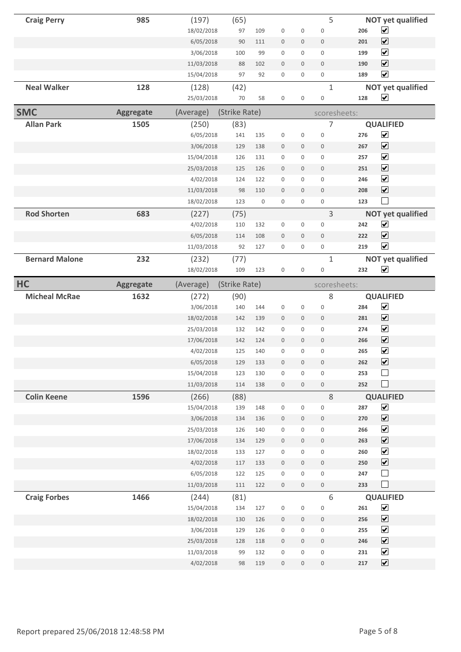| <b>Craig Perry</b>    | 985              | (197)               | (65)          |     |                     |                  | 5                     |     | <b>NOT yet qualified</b>                 |
|-----------------------|------------------|---------------------|---------------|-----|---------------------|------------------|-----------------------|-----|------------------------------------------|
|                       |                  | 18/02/2018          | 97            | 109 | $\boldsymbol{0}$    | 0                | $\boldsymbol{0}$      | 206 | $\blacktriangledown$                     |
|                       |                  | 6/05/2018           | 90            | 111 | $\boldsymbol{0}$    | $\boldsymbol{0}$ | $\boldsymbol{0}$      | 201 | $\overline{\mathbf{v}}$                  |
|                       |                  | 3/06/2018           | 100           | 99  | $\boldsymbol{0}$    | 0                | 0                     | 199 | $\blacktriangledown$                     |
|                       |                  | 11/03/2018          | 88            | 102 | $\boldsymbol{0}$    | 0                | $\boldsymbol{0}$      | 190 | $\boxed{\blacktriangledown}$             |
|                       |                  | 15/04/2018          | 97            | 92  | $\boldsymbol{0}$    | 0                | $\mathsf 0$           | 189 | $\blacktriangledown$                     |
| <b>Neal Walker</b>    | 128              | (128)               | (42)          |     |                     |                  | $\mathbf{1}$          |     | <b>NOT yet qualified</b>                 |
|                       |                  | 25/03/2018          | 70            | 58  | $\boldsymbol{0}$    | 0                | $\boldsymbol{0}$      | 128 | $\blacktriangledown$                     |
| <b>SMC</b>            | <b>Aggregate</b> | (Average)           | (Strike Rate) |     |                     |                  | scoresheets:          |     |                                          |
| <b>Allan Park</b>     | 1505             | (250)               | (83)          |     |                     |                  | 7                     |     | <b>QUALIFIED</b>                         |
|                       |                  | 6/05/2018           | 141           | 135 | $\boldsymbol{0}$    | 0                | $\boldsymbol{0}$      | 276 | $\blacktriangledown$                     |
|                       |                  | 3/06/2018           | 129           | 138 | $\boldsymbol{0}$    | $\mathbf 0$      | $\mathbf 0$           | 267 | $\overline{\mathbf{v}}$                  |
|                       |                  | 15/04/2018          | 126           | 131 | $\mathbf 0$         | 0                | $\mathbf 0$           | 257 | $\blacktriangledown$                     |
|                       |                  | 25/03/2018          | 125           | 126 | $\boldsymbol{0}$    | $\mathbf 0$      | $\boldsymbol{0}$      | 251 | $\overline{\mathbf{v}}$                  |
|                       |                  | 4/02/2018           | 124           | 122 | $\boldsymbol{0}$    | 0                | $\boldsymbol{0}$      | 246 | $\overline{\mathbf{v}}$                  |
|                       |                  | 11/03/2018          | 98            | 110 | $\mathbf 0$         | $\mathbf 0$      | $\boldsymbol{0}$      | 208 | $\overline{\mathbf{v}}$                  |
|                       |                  | 18/02/2018          | 123           | 0   | $\boldsymbol{0}$    | 0                | 0                     | 123 | $\Box$                                   |
| <b>Rod Shorten</b>    | 683              | (227)               | (75)          |     |                     |                  | 3                     |     | <b>NOT yet qualified</b>                 |
|                       |                  | 4/02/2018           | 110           | 132 | $\boldsymbol{0}$    | 0                | 0                     | 242 | $\blacktriangledown$                     |
|                       |                  | 6/05/2018           | 114           | 108 | $\boldsymbol{0}$    | $\boldsymbol{0}$ | $\mathbb O$           | 222 | $\blacktriangledown$                     |
|                       |                  | 11/03/2018          | 92            | 127 | $\mathbf 0$         | 0                | 0                     | 219 | $\overline{\mathbf{v}}$                  |
| <b>Bernard Malone</b> | 232              | (232)               | (77)          |     |                     |                  | $\mathbf{1}$          |     | <b>NOT yet qualified</b>                 |
|                       |                  | 18/02/2018          | 109           | 123 | 0                   | 0                | $\boldsymbol{0}$      | 232 | $\overline{\mathbf{v}}$                  |
| HC                    | <b>Aggregate</b> | (Average)           | (Strike Rate) |     |                     |                  | scoresheets:          |     |                                          |
| <b>Micheal McRae</b>  | 1632             | (272)               | (90)          |     |                     |                  | 8                     |     | <b>QUALIFIED</b>                         |
|                       |                  | 3/06/2018           | 140           | 144 | $\boldsymbol{0}$    | 0                | $\mathbf 0$           | 284 | $\blacktriangledown$                     |
|                       |                  | 18/02/2018          | 142           | 139 | $\mathbf 0$         | $\mathbf 0$      | $\mathbf 0$           | 281 | $\blacktriangledown$                     |
|                       |                  | 25/03/2018          | 132           | 142 | $\mathbf 0$         | 0                | $\mathbf 0$           | 274 | $\blacktriangledown$                     |
|                       |                  | 17/06/2018          | 142           | 124 | $\mathbf{0}$        | $\mathbf 0$      | $\boldsymbol{0}$      | 266 | $\blacktriangledown$                     |
|                       |                  | 4/02/2018           | 125           | 140 | $\mathbf 0$         | 0                | $\mathbf 0$           | 265 | $\blacktriangledown$                     |
|                       |                  | 6/05/2018           | 129           | 133 | 0                   | 0                | 0                     | 262 | $\blacktriangledown$                     |
|                       |                  | 15/04/2018          | 123           | 130 | $\boldsymbol{0}$    | 0                | 0                     | 253 | $\vert \ \ \vert$                        |
|                       |                  | 11/03/2018          | 114           | 138 | $\mathsf{O}\xspace$ | $\boldsymbol{0}$ | $\,0\,$               | 252 | $\Box$                                   |
| <b>Colin Keene</b>    | 1596             | (266)               | (88)          |     |                     |                  | 8                     |     | <b>QUALIFIED</b>                         |
|                       |                  | 15/04/2018          | 139           | 148 | $\boldsymbol{0}$    | 0                | $\boldsymbol{0}$      | 287 | $\blacktriangledown$                     |
|                       |                  | 3/06/2018           | 134           | 136 | $\boldsymbol{0}$    | $\boldsymbol{0}$ | $\boldsymbol{0}$      | 270 | $\blacktriangledown$                     |
|                       |                  | 25/03/2018          | 126           | 140 | $\boldsymbol{0}$    | 0                | $\boldsymbol{0}$      | 266 | $\blacktriangledown$                     |
|                       |                  | 17/06/2018          | 134           | 129 | $\mathbf 0$         | 0                | $\boldsymbol{0}$      | 263 | $\blacktriangledown$                     |
|                       |                  | 18/02/2018          | 133           | 127 | $\mathsf{O}\xspace$ | 0                | $\mathsf{O}\xspace$   | 260 | $\blacktriangledown$                     |
|                       |                  | 4/02/2018           | 117           | 133 | $\mathbf 0$         | 0                | $\mathbf 0$           | 250 | $\blacktriangledown$                     |
|                       |                  |                     |               |     |                     |                  |                       | 247 | $\Box$                                   |
|                       |                  | 6/05/2018           | 122           | 125 | $\boldsymbol{0}$    | 0                | $\boldsymbol{0}$      |     |                                          |
|                       |                  | 11/03/2018          | 111           | 122 | $\boldsymbol{0}$    | $\mathbf 0$      | $\boldsymbol{0}$      | 233 | $\Box$                                   |
|                       |                  |                     |               |     |                     |                  |                       |     |                                          |
| <b>Craig Forbes</b>   | 1466             | (244)<br>15/04/2018 | (81)<br>134   | 127 | $\boldsymbol{0}$    | 0                | 6<br>$\boldsymbol{0}$ | 261 | <b>QUALIFIED</b><br>$\blacktriangledown$ |
|                       |                  | 18/02/2018          | 130           | 126 | $\boldsymbol{0}$    | 0                | $\boldsymbol{0}$      | 256 | $\blacktriangledown$                     |
|                       |                  | 3/06/2018           | 129           | 126 | $\boldsymbol{0}$    | 0                | 0                     | 255 | $\blacktriangledown$                     |
|                       |                  | 25/03/2018          | 128           | 118 | $\boldsymbol{0}$    | $\boldsymbol{0}$ | $\mathsf{O}$          | 246 | $\blacktriangledown$                     |
|                       |                  | 11/03/2018          | 99            | 132 | $\boldsymbol{0}$    | 0                | $\boldsymbol{0}$      | 231 | $\blacktriangledown$                     |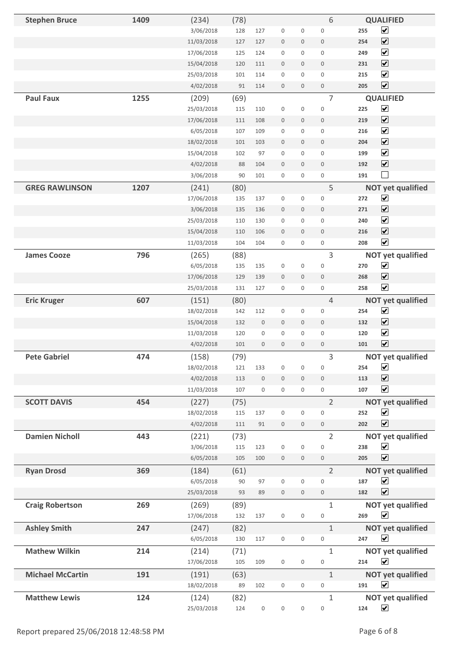| <b>Stephen Bruce</b>    | 1409 | (234)      | (78) |                  |                  |                     | 6                   | <b>QUALIFIED</b>                       |
|-------------------------|------|------------|------|------------------|------------------|---------------------|---------------------|----------------------------------------|
|                         |      | 3/06/2018  | 128  | 127              | $\boldsymbol{0}$ | $\boldsymbol{0}$    | $\boldsymbol{0}$    | $\overline{\mathbf{v}}$<br>255         |
|                         |      | 11/03/2018 | 127  | 127              | $\boldsymbol{0}$ | $\boldsymbol{0}$    | $\boldsymbol{0}$    | $\overline{\mathbf{v}}$<br>254         |
|                         |      | 17/06/2018 | 125  | 124              | $\boldsymbol{0}$ | $\mathbf 0$         | $\boldsymbol{0}$    | $\overline{\mathbf{v}}$<br>249         |
|                         |      | 15/04/2018 | 120  | 111              | $\boldsymbol{0}$ | $\mathbf 0$         | $\boldsymbol{0}$    | $\boxed{\blacktriangledown}$<br>231    |
|                         |      | 25/03/2018 | 101  | 114              | $\boldsymbol{0}$ | 0                   | $\boldsymbol{0}$    | $\overline{\mathbf{v}}$<br>215         |
|                         |      | 4/02/2018  | 91   | 114              | $\boldsymbol{0}$ | $\mathbf 0$         | $\boldsymbol{0}$    | $\boxed{\blacktriangledown}$<br>205    |
| <b>Paul Faux</b>        | 1255 | (209)      | (69) |                  |                  |                     | 7                   | <b>QUALIFIED</b>                       |
|                         |      | 25/03/2018 | 115  | 110              | $\boldsymbol{0}$ | $\boldsymbol{0}$    | $\boldsymbol{0}$    | $\overline{\mathbf{v}}$<br>225         |
|                         |      | 17/06/2018 | 111  | 108              | $\boldsymbol{0}$ | $\boldsymbol{0}$    | $\bf 0$             | $\overline{\blacktriangledown}$<br>219 |
|                         |      | 6/05/2018  | 107  | 109              | $\boldsymbol{0}$ | $\mathbf 0$         | $\mathbf{0}$        | $\overline{\mathbf{v}}$<br>216         |
|                         |      | 18/02/2018 | 101  | 103              | $\boldsymbol{0}$ | $\mathbf 0$         | $\mathbf 0$         | $\overline{\mathbf{v}}$<br>204         |
|                         |      | 15/04/2018 | 102  | 97               | $\boldsymbol{0}$ | 0                   | $\boldsymbol{0}$    | $\overline{\mathbf{v}}$<br>199         |
|                         |      | 4/02/2018  | 88   | 104              | $\boldsymbol{0}$ | $\mathbf 0$         | $\boldsymbol{0}$    | $\overline{\mathbf{v}}$<br>192         |
|                         |      | 3/06/2018  | 90   | 101              | $\boldsymbol{0}$ | $\boldsymbol{0}$    | $\boldsymbol{0}$    | $\vert \ \ \vert$<br>191               |
| <b>GREG RAWLINSON</b>   | 1207 | (241)      | (80) |                  |                  |                     | 5                   | <b>NOT yet qualified</b>               |
|                         |      | 17/06/2018 | 135  | 137              | $\boldsymbol{0}$ | 0                   | $\boldsymbol{0}$    | $\blacktriangledown$<br>272            |
|                         |      | 3/06/2018  | 135  | 136              | $\boldsymbol{0}$ | $\boldsymbol{0}$    | $\boldsymbol{0}$    | $\overline{\mathbf{v}}$<br>271         |
|                         |      | 25/03/2018 | 110  | 130              | $\boldsymbol{0}$ | 0                   | $\boldsymbol{0}$    | $\overline{\mathbf{v}}$<br>240         |
|                         |      | 15/04/2018 | 110  | 106              | $\boldsymbol{0}$ | $\boldsymbol{0}$    | $\boldsymbol{0}$    | $\blacktriangledown$<br>216            |
|                         |      | 11/03/2018 | 104  | 104              | $\boldsymbol{0}$ | $\mathbf 0$         | $\boldsymbol{0}$    | $\blacktriangledown$<br>208            |
| <b>James Cooze</b>      | 796  | (265)      | (88) |                  |                  |                     | 3                   | <b>NOT yet qualified</b>               |
|                         |      | 6/05/2018  | 135  | 135              | $\boldsymbol{0}$ | $\boldsymbol{0}$    | $\boldsymbol{0}$    | $\blacktriangledown$<br>270            |
|                         |      | 17/06/2018 | 129  | 139              | $\boldsymbol{0}$ | $\mathbf 0$         | $\boldsymbol{0}$    | $\overline{\blacktriangledown}$<br>268 |
|                         |      | 25/03/2018 | 131  | 127              | $\boldsymbol{0}$ | 0                   | $\boldsymbol{0}$    | $\overline{\mathbf{v}}$<br>258         |
| <b>Eric Kruger</b>      | 607  | (151)      | (80) |                  |                  |                     | 4                   | <b>NOT yet qualified</b>               |
|                         |      | 18/02/2018 | 142  | 112              | $\boldsymbol{0}$ | $\boldsymbol{0}$    | $\boldsymbol{0}$    | $\blacktriangledown$<br>254            |
|                         |      | 15/04/2018 | 132  | $\boldsymbol{0}$ | $\boldsymbol{0}$ | $\boldsymbol{0}$    | $\boldsymbol{0}$    | $\blacktriangledown$<br>132            |
|                         |      | 11/03/2018 | 120  | $\boldsymbol{0}$ | $\boldsymbol{0}$ | $\boldsymbol{0}$    | $\boldsymbol{0}$    | $\blacktriangledown$<br>120            |
|                         |      | 4/02/2018  | 101  | $\boldsymbol{0}$ | $\boldsymbol{0}$ | $\boldsymbol{0}$    | $\boldsymbol{0}$    | $\overline{\mathbf{v}}$<br>101         |
| <b>Pete Gabriel</b>     | 474  | (158)      | (79) |                  |                  |                     | 3                   | <b>NOT yet qualified</b>               |
|                         |      | 18/02/2018 | 121  | 133              | $\boldsymbol{0}$ | 0                   | $\boldsymbol{0}$    | $\blacktriangledown$<br>254            |
|                         |      | 4/02/2018  | 113  | $\mathbf 0$      | $\boldsymbol{0}$ | $\mathbf{0}$        | $\mathbf 0$         | $\overline{\mathbf{v}}$<br>113         |
|                         |      | 11/03/2018 | 107  | $\boldsymbol{0}$ | $\boldsymbol{0}$ | 0                   | $\boldsymbol{0}$    | $\blacktriangledown$<br>107            |
| <b>SCOTT DAVIS</b>      | 454  | (227)      | (75) |                  |                  |                     | $\overline{2}$      | <b>NOT yet qualified</b>               |
|                         |      | 18/02/2018 | 115  | 137              | $\boldsymbol{0}$ | $\boldsymbol{0}$    | $\mathbf 0$         | $\blacktriangledown$<br>252            |
|                         |      | 4/02/2018  | 111  | 91               | $\boldsymbol{0}$ | $\mathbf 0$         | $\boldsymbol{0}$    | $\overline{\mathbf{v}}$<br>202         |
| <b>Damien Nicholl</b>   | 443  | (221)      | (73) |                  |                  |                     | $\overline{2}$      | <b>NOT yet qualified</b>               |
|                         |      | 3/06/2018  | 115  | 123              | $\boldsymbol{0}$ | $\mathsf 0$         | $\boldsymbol{0}$    | $\blacktriangledown$<br>238            |
|                         |      | 6/05/2018  | 105  | 100              | $\mathbf 0$      | $\mathbf 0$         | $\boldsymbol{0}$    | $\overline{\mathbf{v}}$<br>205         |
| <b>Ryan Drosd</b>       | 369  | (184)      | (61) |                  |                  |                     | $\overline{2}$      | <b>NOT yet qualified</b>               |
|                         |      | 6/05/2018  | 90   | 97               | $\boldsymbol{0}$ | $\mathbf 0$         | $\mathsf 0$         | $\blacktriangledown$<br>187            |
|                         |      | 25/03/2018 | 93   | 89               | $\boldsymbol{0}$ | $\boldsymbol{0}$    | $\,0\,$             | $\overline{\mathbf{v}}$<br>182         |
| <b>Craig Robertson</b>  | 269  | (269)      | (89) |                  |                  |                     | $\mathbf{1}$        | <b>NOT yet qualified</b>               |
|                         |      | 17/06/2018 | 132  | 137              | $\boldsymbol{0}$ | $\boldsymbol{0}$    | $\mathsf{O}\xspace$ | $\blacktriangledown$<br>269            |
| <b>Ashley Smith</b>     | 247  | (247)      | (82) |                  |                  |                     | $\mathbf{1}$        | <b>NOT yet qualified</b>               |
|                         |      | 6/05/2018  | 130  | 117              | $\boldsymbol{0}$ | $\mathsf{O}\xspace$ | $\boldsymbol{0}$    | $\blacktriangledown$<br>247            |
| <b>Mathew Wilkin</b>    | 214  | (214)      | (71) |                  |                  |                     | $\mathbf{1}$        | <b>NOT yet qualified</b>               |
|                         |      | 17/06/2018 | 105  | 109              | $\boldsymbol{0}$ | $\boldsymbol{0}$    | $\mathsf{O}\xspace$ | $\blacktriangledown$<br>214            |
| <b>Michael McCartin</b> | 191  | (191)      | (63) |                  |                  |                     | $\mathbf{1}$        | <b>NOT yet qualified</b>               |
|                         |      | 18/02/2018 | 89   | 102              | $\boldsymbol{0}$ | $\boldsymbol{0}$    | $\boldsymbol{0}$    | $\blacktriangledown$<br>191            |
| <b>Matthew Lewis</b>    | 124  | (124)      | (82) |                  |                  |                     | 1                   | <b>NOT yet qualified</b>               |
|                         |      | 25/03/2018 | 124  | $\boldsymbol{0}$ | 0                | $\boldsymbol{0}$    | 0                   | $\blacktriangledown$<br>124            |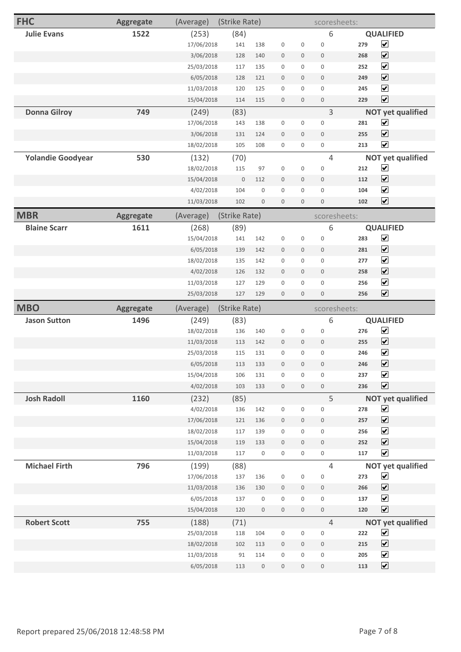| <b>FHC</b>               | <b>Aggregate</b> | (Average)               | (Strike Rate) |                  |                  |                     | scoresheets:        |            |                                              |
|--------------------------|------------------|-------------------------|---------------|------------------|------------------|---------------------|---------------------|------------|----------------------------------------------|
| <b>Julie Evans</b>       | 1522             | (253)                   | (84)          |                  |                  |                     | 6                   |            | <b>QUALIFIED</b>                             |
|                          |                  | 17/06/2018              | 141           | 138              | $\boldsymbol{0}$ | 0                   | $\boldsymbol{0}$    | 279        | $\blacktriangledown$                         |
|                          |                  | 3/06/2018               | 128           | 140              | $\boldsymbol{0}$ | $\mathsf{O}\xspace$ | $\mathbb O$         | 268        | $\overline{\mathbf{v}}$                      |
|                          |                  | 25/03/2018              | 117           | 135              | $\boldsymbol{0}$ | $\mathbf 0$         | $\overline{0}$      | 252        | $\overline{\mathbf{v}}$                      |
|                          |                  | 6/05/2018               | 128           | 121              | $\boldsymbol{0}$ | $\mathbf 0$         | $\mathbf 0$         | 249        | $\overline{\blacktriangledown}$              |
|                          |                  | 11/03/2018              | 120           | 125              | $\boldsymbol{0}$ | 0                   | $\mathsf 0$         | 245        | $\overline{\mathbf{v}}$                      |
|                          |                  | 15/04/2018              | 114           | 115              | $\boldsymbol{0}$ | $\boldsymbol{0}$    | $\mathbb O$         | 229        | $\blacktriangledown$                         |
| <b>Donna Gilroy</b>      | 749              | (249)                   | (83)          |                  |                  |                     | 3                   |            | <b>NOT yet qualified</b>                     |
|                          |                  | 17/06/2018              | 143           | 138              | $\boldsymbol{0}$ | $\mathbf 0$         | $\boldsymbol{0}$    | 281        | $\overline{\mathbf{v}}$                      |
|                          |                  | 3/06/2018               | 131           | 124              | $\boldsymbol{0}$ | $\mathbf 0$         | $\mathbf 0$         | 255        | $\overline{\mathbf{v}}$                      |
|                          |                  | 18/02/2018              | 105           | 108              | $\boldsymbol{0}$ | $\boldsymbol{0}$    | $\boldsymbol{0}$    | 213        | $\blacktriangledown$                         |
| <b>Yolandie Goodyear</b> | 530              | (132)                   | (70)          |                  |                  |                     | 4                   |            | <b>NOT yet qualified</b>                     |
|                          |                  | 18/02/2018              | 115           | 97               | $\boldsymbol{0}$ | $\mathsf{O}\xspace$ | $\boldsymbol{0}$    | 212        | $\blacktriangledown$                         |
|                          |                  | 15/04/2018              | $\mathbf 0$   | 112              | $\boldsymbol{0}$ | $\mathbf 0$         | $\mathbf 0$         | 112        | $\blacktriangleright$                        |
|                          |                  | 4/02/2018               | 104           | $\boldsymbol{0}$ | $\boldsymbol{0}$ | 0                   | $\mathsf 0$         | 104        | $\overline{\mathbf{v}}$                      |
|                          |                  | 11/03/2018              | 102           | $\boldsymbol{0}$ | $\boldsymbol{0}$ | $\boldsymbol{0}$    | $\boldsymbol{0}$    | 102        | $\overline{\mathbf{v}}$                      |
| <b>MBR</b>               | <b>Aggregate</b> | (Average)               | (Strike Rate) |                  |                  |                     | scoresheets:        |            |                                              |
| <b>Blaine Scarr</b>      | 1611             | (268)                   | (89)          |                  |                  |                     | 6                   |            | <b>QUALIFIED</b>                             |
|                          |                  | 15/04/2018              | 141           | 142              | $\boldsymbol{0}$ | $\boldsymbol{0}$    | $\mathbf 0$         | 283        | $\blacktriangledown$                         |
|                          |                  | 6/05/2018               | 139           | 142              | $\boldsymbol{0}$ | $\mathbf 0$         | $\mathbb O$         | 281        | $\blacktriangledown$                         |
|                          |                  | 18/02/2018              | 135           | 142              | $\boldsymbol{0}$ | 0                   | $\mathsf 0$         | 277        | $\overline{\mathbf{v}}$                      |
|                          |                  | 4/02/2018               | 126           | 132              | $\boldsymbol{0}$ | $\mathbf 0$         | $\mathbf 0$         | 258        | $\overline{\mathbf{v}}$                      |
|                          |                  | 11/03/2018              | 127           | 129              | $\boldsymbol{0}$ | $\mathsf 0$         | $\mathbf 0$         | 256        | $\blacktriangledown$                         |
|                          |                  |                         |               |                  |                  |                     |                     |            | $\overline{\mathbf{v}}$                      |
|                          |                  | 25/03/2018              | 127           | 129              | $\boldsymbol{0}$ | $\boldsymbol{0}$    | $\boldsymbol{0}$    | 256        |                                              |
| <b>MBO</b>               | <b>Aggregate</b> | (Average)               | (Strike Rate) |                  |                  |                     | scoresheets:        |            |                                              |
| <b>Jason Sutton</b>      | 1496             | (249)                   | (83)          |                  |                  |                     | 6                   |            | <b>QUALIFIED</b>                             |
|                          |                  | 18/02/2018              | 136           | 140              | $\boldsymbol{0}$ | $\boldsymbol{0}$    | $\boldsymbol{0}$    | 276        | $\blacktriangledown$                         |
|                          |                  | 11/03/2018              | 113           | 142              | $\boldsymbol{0}$ | $\mathbf 0$         | $\boldsymbol{0}$    | 255        | $\overline{\blacktriangledown}$              |
|                          |                  | 25/03/2018              | 115           | 131              | $\boldsymbol{0}$ | 0                   | $\boldsymbol{0}$    | 246        | $\blacktriangledown$                         |
|                          |                  | 6/05/2018               | 113           | 133              | 0                | $\mathbf 0$         | 0                   | 246        | $\blacktriangledown$                         |
|                          |                  | 15/04/2018              | 106           | 131              | $\boldsymbol{0}$ | 0                   | $\boldsymbol{0}$    | 237        | $\blacktriangledown$                         |
|                          |                  | 4/02/2018               | 103           | 133              | $\boldsymbol{0}$ | $\mathbf 0$         | $\,0\,$             | 236        | $\blacktriangledown$                         |
| <b>Josh Radoll</b>       | 1160             | (232)                   | (85)          |                  |                  |                     | 5                   |            | <b>NOT yet qualified</b>                     |
|                          |                  | 4/02/2018               | 136           | 142              | $\boldsymbol{0}$ | 0                   | $\boldsymbol{0}$    | 278        | $\blacktriangledown$                         |
|                          |                  | 17/06/2018              | 121           | 136              | $\boldsymbol{0}$ | $\boldsymbol{0}$    | $\boldsymbol{0}$    | 257        | $\blacktriangledown$                         |
|                          |                  | 18/02/2018              | 117           | 139              | $\boldsymbol{0}$ | 0                   | $\boldsymbol{0}$    | 256        | $\blacktriangledown$                         |
|                          |                  | 15/04/2018              | 119           | 133              | $\boldsymbol{0}$ | $\boldsymbol{0}$    | $\boldsymbol{0}$    | 252        | $\blacktriangledown$                         |
|                          |                  | 11/03/2018              | 117           | $\boldsymbol{0}$ | $\boldsymbol{0}$ | 0                   | $\boldsymbol{0}$    | 117        | $\blacktriangledown$                         |
| <b>Michael Firth</b>     | 796              | (199)                   | (88)          |                  |                  |                     | $\overline{4}$      |            | <b>NOT yet qualified</b>                     |
|                          |                  | 17/06/2018              | 137           | 136              | $\boldsymbol{0}$ | $\boldsymbol{0}$    | $\boldsymbol{0}$    | 273        | $\blacktriangledown$                         |
|                          |                  | 11/03/2018              | 136           | 130              | $\boldsymbol{0}$ | $\boldsymbol{0}$    | $\boldsymbol{0}$    | 266        | $\blacktriangledown$                         |
|                          |                  | 6/05/2018               | 137           | $\boldsymbol{0}$ | $\boldsymbol{0}$ | 0                   | $\mathsf 0$         | 137        | $\blacktriangledown$                         |
|                          |                  | 15/04/2018              | 120           | $\boldsymbol{0}$ | $\boldsymbol{0}$ | $\boldsymbol{0}$    | $\mathsf{O}\xspace$ | 120        | $\blacktriangledown$                         |
| <b>Robert Scott</b>      | 755              | (188)                   | (71)          |                  |                  |                     | $\overline{4}$      |            | <b>NOT yet qualified</b>                     |
|                          |                  | 25/03/2018              | 118           | 104              | $\boldsymbol{0}$ | 0                   | $\boldsymbol{0}$    | 222        | $\blacktriangledown$                         |
|                          |                  | 18/02/2018              | 102           | 113              | $\boldsymbol{0}$ | 0                   | $\,0\,$             | 215        | $\blacktriangledown$                         |
|                          |                  | 11/03/2018<br>6/05/2018 | 91            | 114              | $\boldsymbol{0}$ | 0                   | $\mathsf{O}\xspace$ | 205<br>113 | $\blacktriangledown$<br>$\blacktriangledown$ |